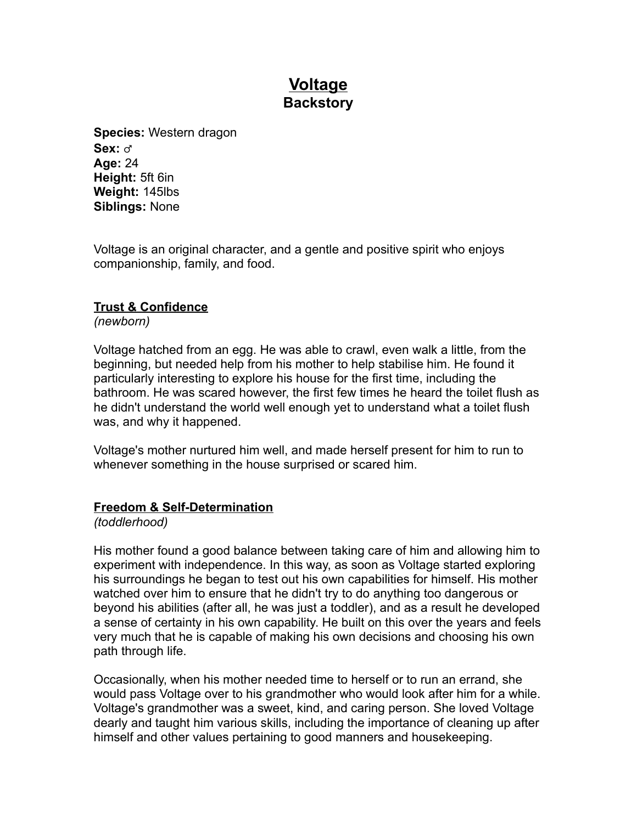# **Voltage Backstory**

**Species:** Western dragon **Sex:** ♂ **Age:** 24 **Height:** 5ft 6in **Weight:** 145lbs **Siblings:** None

Voltage is an original character, and a gentle and positive spirit who enjoys companionship, family, and food.

# **Trust & Confidence**

*(newborn)*

Voltage hatched from an egg. He was able to crawl, even walk a little, from the beginning, but needed help from his mother to help stabilise him. He found it particularly interesting to explore his house for the first time, including the bathroom. He was scared however, the first few times he heard the toilet flush as he didn't understand the world well enough yet to understand what a toilet flush was, and why it happened.

Voltage's mother nurtured him well, and made herself present for him to run to whenever something in the house surprised or scared him.

## **Freedom & Self-Determination**

*(toddlerhood)*

His mother found a good balance between taking care of him and allowing him to experiment with independence. In this way, as soon as Voltage started exploring his surroundings he began to test out his own capabilities for himself. His mother watched over him to ensure that he didn't try to do anything too dangerous or beyond his abilities (after all, he was just a toddler), and as a result he developed a sense of certainty in his own capability. He built on this over the years and feels very much that he is capable of making his own decisions and choosing his own path through life.

Occasionally, when his mother needed time to herself or to run an errand, she would pass Voltage over to his grandmother who would look after him for a while. Voltage's grandmother was a sweet, kind, and caring person. She loved Voltage dearly and taught him various skills, including the importance of cleaning up after himself and other values pertaining to good manners and housekeeping.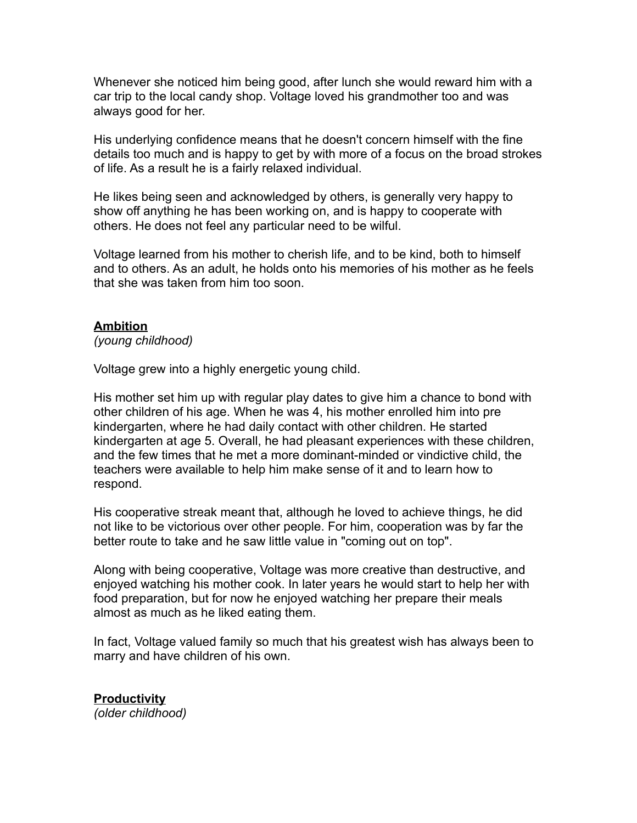Whenever she noticed him being good, after lunch she would reward him with a car trip to the local candy shop. Voltage loved his grandmother too and was always good for her.

His underlying confidence means that he doesn't concern himself with the fine details too much and is happy to get by with more of a focus on the broad strokes of life. As a result he is a fairly relaxed individual.

He likes being seen and acknowledged by others, is generally very happy to show off anything he has been working on, and is happy to cooperate with others. He does not feel any particular need to be wilful.

Voltage learned from his mother to cherish life, and to be kind, both to himself and to others. As an adult, he holds onto his memories of his mother as he feels that she was taken from him too soon.

## **Ambition**

*(young childhood)*

Voltage grew into a highly energetic young child.

His mother set him up with regular play dates to give him a chance to bond with other children of his age. When he was 4, his mother enrolled him into pre kindergarten, where he had daily contact with other children. He started kindergarten at age 5. Overall, he had pleasant experiences with these children, and the few times that he met a more dominant-minded or vindictive child, the teachers were available to help him make sense of it and to learn how to respond.

His cooperative streak meant that, although he loved to achieve things, he did not like to be victorious over other people. For him, cooperation was by far the better route to take and he saw little value in "coming out on top".

Along with being cooperative, Voltage was more creative than destructive, and enjoyed watching his mother cook. In later years he would start to help her with food preparation, but for now he enjoyed watching her prepare their meals almost as much as he liked eating them.

In fact, Voltage valued family so much that his greatest wish has always been to marry and have children of his own.

**Productivity** *(older childhood)*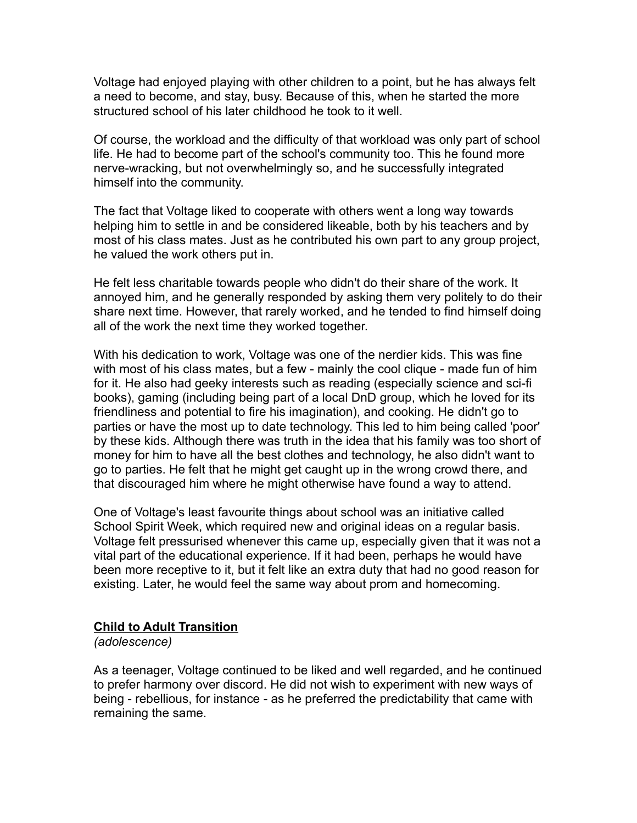Voltage had enjoyed playing with other children to a point, but he has always felt a need to become, and stay, busy. Because of this, when he started the more structured school of his later childhood he took to it well.

Of course, the workload and the difficulty of that workload was only part of school life. He had to become part of the school's community too. This he found more nerve-wracking, but not overwhelmingly so, and he successfully integrated himself into the community.

The fact that Voltage liked to cooperate with others went a long way towards helping him to settle in and be considered likeable, both by his teachers and by most of his class mates. Just as he contributed his own part to any group project, he valued the work others put in.

He felt less charitable towards people who didn't do their share of the work. It annoyed him, and he generally responded by asking them very politely to do their share next time. However, that rarely worked, and he tended to find himself doing all of the work the next time they worked together.

With his dedication to work, Voltage was one of the nerdier kids. This was fine with most of his class mates, but a few - mainly the cool clique - made fun of him for it. He also had geeky interests such as reading (especially science and sci-fi books), gaming (including being part of a local DnD group, which he loved for its friendliness and potential to fire his imagination), and cooking. He didn't go to parties or have the most up to date technology. This led to him being called 'poor' by these kids. Although there was truth in the idea that his family was too short of money for him to have all the best clothes and technology, he also didn't want to go to parties. He felt that he might get caught up in the wrong crowd there, and that discouraged him where he might otherwise have found a way to attend.

One of Voltage's least favourite things about school was an initiative called School Spirit Week, which required new and original ideas on a regular basis. Voltage felt pressurised whenever this came up, especially given that it was not a vital part of the educational experience. If it had been, perhaps he would have been more receptive to it, but it felt like an extra duty that had no good reason for existing. Later, he would feel the same way about prom and homecoming.

#### **Child to Adult Transition**

*(adolescence)*

As a teenager, Voltage continued to be liked and well regarded, and he continued to prefer harmony over discord. He did not wish to experiment with new ways of being - rebellious, for instance - as he preferred the predictability that came with remaining the same.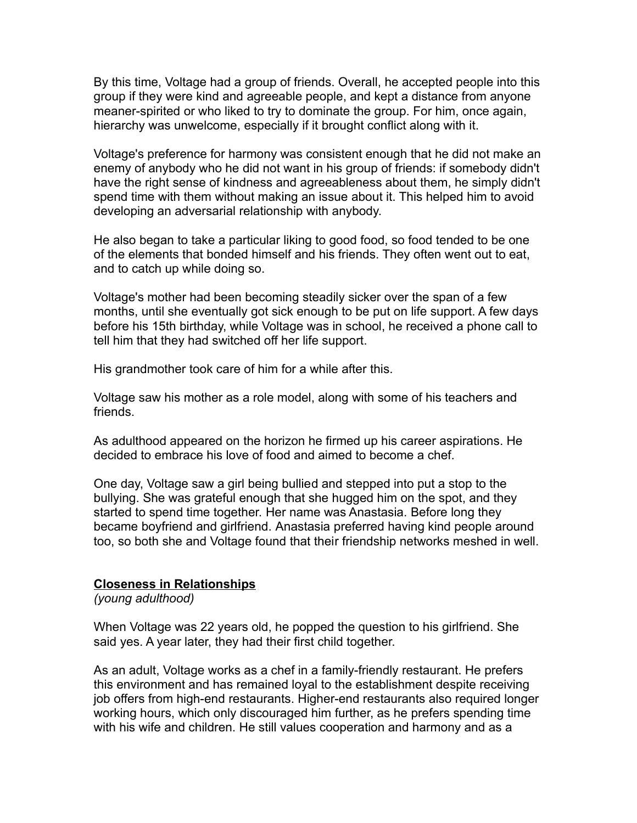By this time, Voltage had a group of friends. Overall, he accepted people into this group if they were kind and agreeable people, and kept a distance from anyone meaner-spirited or who liked to try to dominate the group. For him, once again, hierarchy was unwelcome, especially if it brought conflict along with it.

Voltage's preference for harmony was consistent enough that he did not make an enemy of anybody who he did not want in his group of friends: if somebody didn't have the right sense of kindness and agreeableness about them, he simply didn't spend time with them without making an issue about it. This helped him to avoid developing an adversarial relationship with anybody.

He also began to take a particular liking to good food, so food tended to be one of the elements that bonded himself and his friends. They often went out to eat, and to catch up while doing so.

Voltage's mother had been becoming steadily sicker over the span of a few months, until she eventually got sick enough to be put on life support. A few days before his 15th birthday, while Voltage was in school, he received a phone call to tell him that they had switched off her life support.

His grandmother took care of him for a while after this.

Voltage saw his mother as a role model, along with some of his teachers and friends.

As adulthood appeared on the horizon he firmed up his career aspirations. He decided to embrace his love of food and aimed to become a chef.

One day, Voltage saw a girl being bullied and stepped into put a stop to the bullying. She was grateful enough that she hugged him on the spot, and they started to spend time together. Her name was Anastasia. Before long they became boyfriend and girlfriend. Anastasia preferred having kind people around too, so both she and Voltage found that their friendship networks meshed in well.

## **Closeness in Relationships**

*(young adulthood)*

When Voltage was 22 years old, he popped the question to his girlfriend. She said yes. A year later, they had their first child together.

As an adult, Voltage works as a chef in a family-friendly restaurant. He prefers this environment and has remained loyal to the establishment despite receiving job offers from high-end restaurants. Higher-end restaurants also required longer working hours, which only discouraged him further, as he prefers spending time with his wife and children. He still values cooperation and harmony and as a